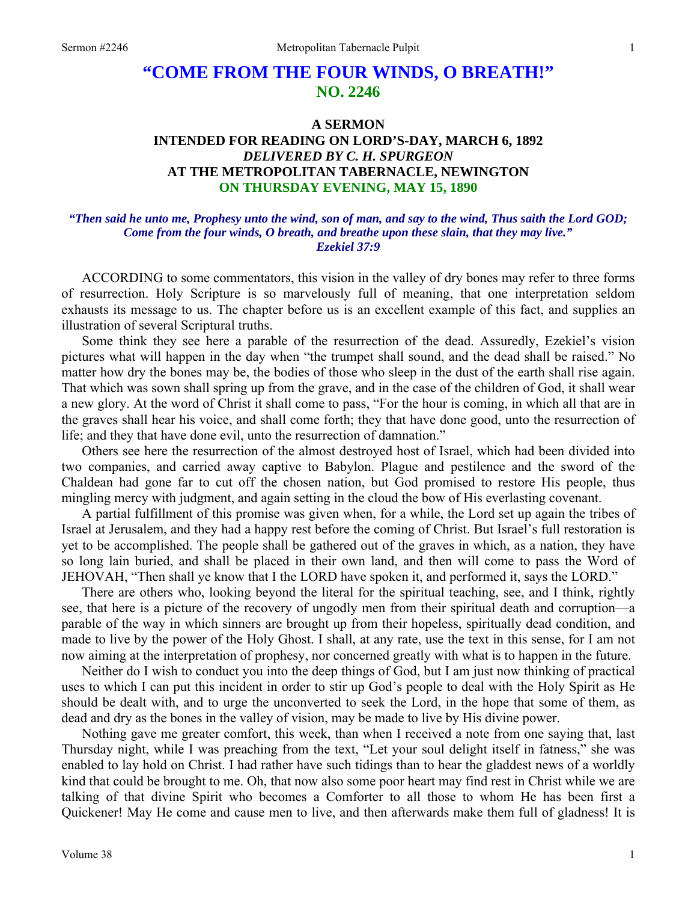# **"COME FROM THE FOUR WINDS, O BREATH!" NO. 2246**

## **A SERMON INTENDED FOR READING ON LORD'S-DAY, MARCH 6, 1892**  *DELIVERED BY C. H. SPURGEON*  **AT THE METROPOLITAN TABERNACLE, NEWINGTON ON THURSDAY EVENING, MAY 15, 1890**

### *"Then said he unto me, Prophesy unto the wind, son of man, and say to the wind, Thus saith the Lord GOD; Come from the four winds, O breath, and breathe upon these slain, that they may live." Ezekiel 37:9*

ACCORDING to some commentators, this vision in the valley of dry bones may refer to three forms of resurrection. Holy Scripture is so marvelously full of meaning, that one interpretation seldom exhausts its message to us. The chapter before us is an excellent example of this fact, and supplies an illustration of several Scriptural truths.

Some think they see here a parable of the resurrection of the dead. Assuredly, Ezekiel's vision pictures what will happen in the day when "the trumpet shall sound, and the dead shall be raised." No matter how dry the bones may be, the bodies of those who sleep in the dust of the earth shall rise again. That which was sown shall spring up from the grave, and in the case of the children of God, it shall wear a new glory. At the word of Christ it shall come to pass, "For the hour is coming, in which all that are in the graves shall hear his voice, and shall come forth; they that have done good, unto the resurrection of life; and they that have done evil, unto the resurrection of damnation."

Others see here the resurrection of the almost destroyed host of Israel, which had been divided into two companies, and carried away captive to Babylon. Plague and pestilence and the sword of the Chaldean had gone far to cut off the chosen nation, but God promised to restore His people, thus mingling mercy with judgment, and again setting in the cloud the bow of His everlasting covenant.

A partial fulfillment of this promise was given when, for a while, the Lord set up again the tribes of Israel at Jerusalem, and they had a happy rest before the coming of Christ. But Israel's full restoration is yet to be accomplished. The people shall be gathered out of the graves in which, as a nation, they have so long lain buried, and shall be placed in their own land, and then will come to pass the Word of JEHOVAH, "Then shall ye know that I the LORD have spoken it, and performed it, says the LORD."

There are others who, looking beyond the literal for the spiritual teaching, see, and I think, rightly see, that here is a picture of the recovery of ungodly men from their spiritual death and corruption—a parable of the way in which sinners are brought up from their hopeless, spiritually dead condition, and made to live by the power of the Holy Ghost. I shall, at any rate, use the text in this sense, for I am not now aiming at the interpretation of prophesy, nor concerned greatly with what is to happen in the future.

Neither do I wish to conduct you into the deep things of God, but I am just now thinking of practical uses to which I can put this incident in order to stir up God's people to deal with the Holy Spirit as He should be dealt with, and to urge the unconverted to seek the Lord, in the hope that some of them, as dead and dry as the bones in the valley of vision, may be made to live by His divine power.

Nothing gave me greater comfort, this week, than when I received a note from one saying that, last Thursday night, while I was preaching from the text, "Let your soul delight itself in fatness," she was enabled to lay hold on Christ. I had rather have such tidings than to hear the gladdest news of a worldly kind that could be brought to me. Oh, that now also some poor heart may find rest in Christ while we are talking of that divine Spirit who becomes a Comforter to all those to whom He has been first a Quickener! May He come and cause men to live, and then afterwards make them full of gladness! It is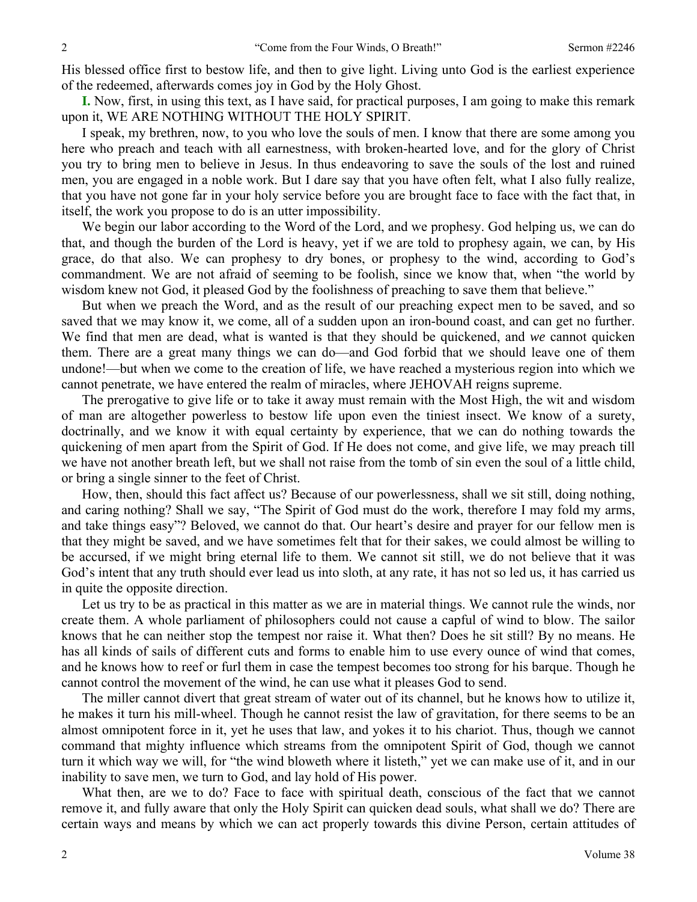His blessed office first to bestow life, and then to give light. Living unto God is the earliest experience of the redeemed, afterwards comes joy in God by the Holy Ghost.

**I.** Now, first, in using this text, as I have said, for practical purposes, I am going to make this remark upon it, WE ARE NOTHING WITHOUT THE HOLY SPIRIT.

I speak, my brethren, now, to you who love the souls of men. I know that there are some among you here who preach and teach with all earnestness, with broken-hearted love, and for the glory of Christ you try to bring men to believe in Jesus. In thus endeavoring to save the souls of the lost and ruined men, you are engaged in a noble work. But I dare say that you have often felt, what I also fully realize, that you have not gone far in your holy service before you are brought face to face with the fact that, in itself, the work you propose to do is an utter impossibility.

We begin our labor according to the Word of the Lord, and we prophesy. God helping us, we can do that, and though the burden of the Lord is heavy, yet if we are told to prophesy again, we can, by His grace, do that also. We can prophesy to dry bones, or prophesy to the wind, according to God's commandment. We are not afraid of seeming to be foolish, since we know that, when "the world by wisdom knew not God, it pleased God by the foolishness of preaching to save them that believe."

But when we preach the Word, and as the result of our preaching expect men to be saved, and so saved that we may know it, we come, all of a sudden upon an iron-bound coast, and can get no further. We find that men are dead, what is wanted is that they should be quickened, and *we* cannot quicken them. There are a great many things we can do—and God forbid that we should leave one of them undone!—but when we come to the creation of life, we have reached a mysterious region into which we cannot penetrate, we have entered the realm of miracles, where JEHOVAH reigns supreme.

The prerogative to give life or to take it away must remain with the Most High, the wit and wisdom of man are altogether powerless to bestow life upon even the tiniest insect. We know of a surety, doctrinally, and we know it with equal certainty by experience, that we can do nothing towards the quickening of men apart from the Spirit of God. If He does not come, and give life, we may preach till we have not another breath left, but we shall not raise from the tomb of sin even the soul of a little child, or bring a single sinner to the feet of Christ.

How, then, should this fact affect us? Because of our powerlessness, shall we sit still, doing nothing, and caring nothing? Shall we say, "The Spirit of God must do the work, therefore I may fold my arms, and take things easy"? Beloved, we cannot do that. Our heart's desire and prayer for our fellow men is that they might be saved, and we have sometimes felt that for their sakes, we could almost be willing to be accursed, if we might bring eternal life to them. We cannot sit still, we do not believe that it was God's intent that any truth should ever lead us into sloth, at any rate, it has not so led us, it has carried us in quite the opposite direction.

Let us try to be as practical in this matter as we are in material things. We cannot rule the winds, nor create them. A whole parliament of philosophers could not cause a capful of wind to blow. The sailor knows that he can neither stop the tempest nor raise it. What then? Does he sit still? By no means. He has all kinds of sails of different cuts and forms to enable him to use every ounce of wind that comes, and he knows how to reef or furl them in case the tempest becomes too strong for his barque. Though he cannot control the movement of the wind, he can use what it pleases God to send.

The miller cannot divert that great stream of water out of its channel, but he knows how to utilize it, he makes it turn his mill-wheel. Though he cannot resist the law of gravitation, for there seems to be an almost omnipotent force in it, yet he uses that law, and yokes it to his chariot. Thus, though we cannot command that mighty influence which streams from the omnipotent Spirit of God, though we cannot turn it which way we will, for "the wind bloweth where it listeth," yet we can make use of it, and in our inability to save men, we turn to God, and lay hold of His power.

What then, are we to do? Face to face with spiritual death, conscious of the fact that we cannot remove it, and fully aware that only the Holy Spirit can quicken dead souls, what shall we do? There are certain ways and means by which we can act properly towards this divine Person, certain attitudes of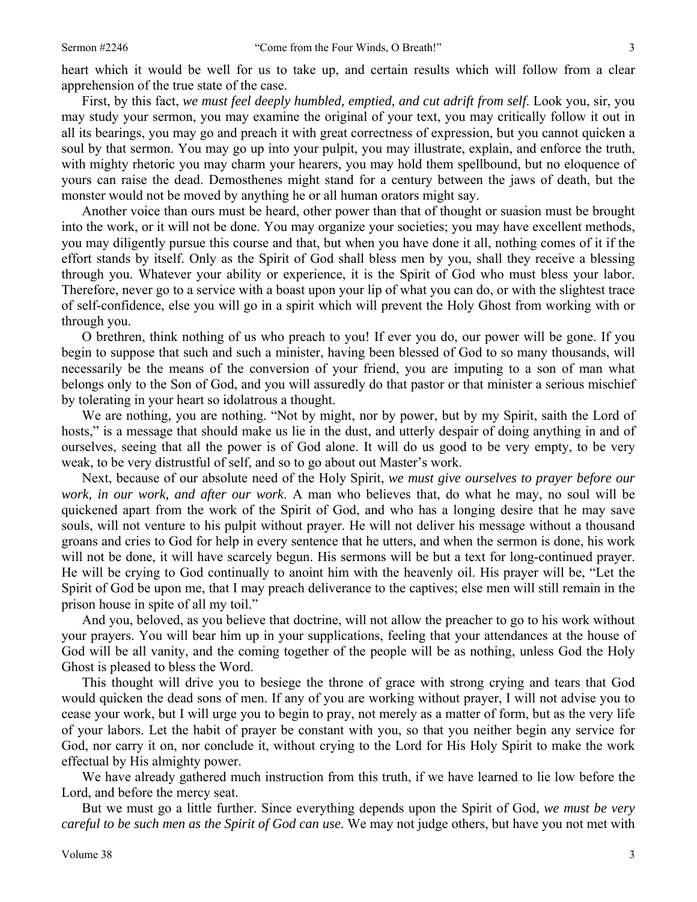heart which it would be well for us to take up, and certain results which will follow from a clear apprehension of the true state of the case.

First, by this fact, *we must feel deeply humbled, emptied, and cut adrift from self*. Look you, sir, you may study your sermon, you may examine the original of your text, you may critically follow it out in all its bearings, you may go and preach it with great correctness of expression, but you cannot quicken a soul by that sermon. You may go up into your pulpit, you may illustrate, explain, and enforce the truth, with mighty rhetoric you may charm your hearers, you may hold them spellbound, but no eloquence of yours can raise the dead. Demosthenes might stand for a century between the jaws of death, but the monster would not be moved by anything he or all human orators might say.

Another voice than ours must be heard, other power than that of thought or suasion must be brought into the work, or it will not be done. You may organize your societies; you may have excellent methods, you may diligently pursue this course and that, but when you have done it all, nothing comes of it if the effort stands by itself. Only as the Spirit of God shall bless men by you, shall they receive a blessing through you. Whatever your ability or experience, it is the Spirit of God who must bless your labor. Therefore, never go to a service with a boast upon your lip of what you can do, or with the slightest trace of self-confidence, else you will go in a spirit which will prevent the Holy Ghost from working with or through you.

O brethren, think nothing of us who preach to you! If ever you do, our power will be gone. If you begin to suppose that such and such a minister, having been blessed of God to so many thousands, will necessarily be the means of the conversion of your friend, you are imputing to a son of man what belongs only to the Son of God, and you will assuredly do that pastor or that minister a serious mischief by tolerating in your heart so idolatrous a thought.

We are nothing, you are nothing. "Not by might, nor by power, but by my Spirit, saith the Lord of hosts," is a message that should make us lie in the dust, and utterly despair of doing anything in and of ourselves, seeing that all the power is of God alone. It will do us good to be very empty, to be very weak, to be very distrustful of self, and so to go about out Master's work.

Next, because of our absolute need of the Holy Spirit, *we must give ourselves to prayer before our work, in our work, and after our work*. A man who believes that, do what he may, no soul will be quickened apart from the work of the Spirit of God, and who has a longing desire that he may save souls, will not venture to his pulpit without prayer. He will not deliver his message without a thousand groans and cries to God for help in every sentence that he utters, and when the sermon is done, his work will not be done, it will have scarcely begun. His sermons will be but a text for long-continued prayer. He will be crying to God continually to anoint him with the heavenly oil. His prayer will be, "Let the Spirit of God be upon me, that I may preach deliverance to the captives; else men will still remain in the prison house in spite of all my toil."

And you, beloved, as you believe that doctrine, will not allow the preacher to go to his work without your prayers. You will bear him up in your supplications, feeling that your attendances at the house of God will be all vanity, and the coming together of the people will be as nothing, unless God the Holy Ghost is pleased to bless the Word.

This thought will drive you to besiege the throne of grace with strong crying and tears that God would quicken the dead sons of men. If any of you are working without prayer, I will not advise you to cease your work, but I will urge you to begin to pray, not merely as a matter of form, but as the very life of your labors. Let the habit of prayer be constant with you, so that you neither begin any service for God, nor carry it on, nor conclude it, without crying to the Lord for His Holy Spirit to make the work effectual by His almighty power.

We have already gathered much instruction from this truth, if we have learned to lie low before the Lord, and before the mercy seat.

But we must go a little further. Since everything depends upon the Spirit of God, *we must be very careful to be such men as the Spirit of God can use*. We may not judge others, but have you not met with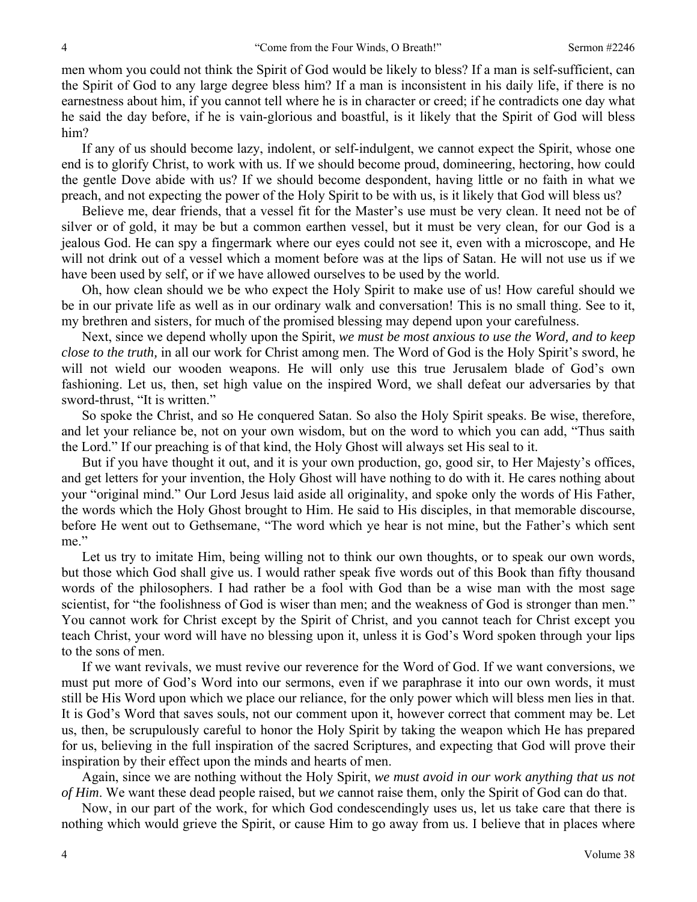men whom you could not think the Spirit of God would be likely to bless? If a man is self-sufficient, can the Spirit of God to any large degree bless him? If a man is inconsistent in his daily life, if there is no earnestness about him, if you cannot tell where he is in character or creed; if he contradicts one day what he said the day before, if he is vain-glorious and boastful, is it likely that the Spirit of God will bless him?

If any of us should become lazy, indolent, or self-indulgent, we cannot expect the Spirit, whose one end is to glorify Christ, to work with us. If we should become proud, domineering, hectoring, how could the gentle Dove abide with us? If we should become despondent, having little or no faith in what we preach, and not expecting the power of the Holy Spirit to be with us, is it likely that God will bless us?

Believe me, dear friends, that a vessel fit for the Master's use must be very clean. It need not be of silver or of gold, it may be but a common earthen vessel, but it must be very clean, for our God is a jealous God. He can spy a fingermark where our eyes could not see it, even with a microscope, and He will not drink out of a vessel which a moment before was at the lips of Satan. He will not use us if we have been used by self, or if we have allowed ourselves to be used by the world.

Oh, how clean should we be who expect the Holy Spirit to make use of us! How careful should we be in our private life as well as in our ordinary walk and conversation! This is no small thing. See to it, my brethren and sisters, for much of the promised blessing may depend upon your carefulness.

Next, since we depend wholly upon the Spirit, *we must be most anxious to use the Word, and to keep close to the truth,* in all our work for Christ among men. The Word of God is the Holy Spirit's sword, he will not wield our wooden weapons. He will only use this true Jerusalem blade of God's own fashioning. Let us, then, set high value on the inspired Word, we shall defeat our adversaries by that sword-thrust, "It is written."

So spoke the Christ, and so He conquered Satan. So also the Holy Spirit speaks. Be wise, therefore, and let your reliance be, not on your own wisdom, but on the word to which you can add, "Thus saith the Lord." If our preaching is of that kind, the Holy Ghost will always set His seal to it.

But if you have thought it out, and it is your own production, go, good sir, to Her Majesty's offices, and get letters for your invention, the Holy Ghost will have nothing to do with it. He cares nothing about your "original mind." Our Lord Jesus laid aside all originality, and spoke only the words of His Father, the words which the Holy Ghost brought to Him. He said to His disciples, in that memorable discourse, before He went out to Gethsemane, "The word which ye hear is not mine, but the Father's which sent me."

Let us try to imitate Him, being willing not to think our own thoughts, or to speak our own words, but those which God shall give us. I would rather speak five words out of this Book than fifty thousand words of the philosophers. I had rather be a fool with God than be a wise man with the most sage scientist, for "the foolishness of God is wiser than men; and the weakness of God is stronger than men." You cannot work for Christ except by the Spirit of Christ, and you cannot teach for Christ except you teach Christ, your word will have no blessing upon it, unless it is God's Word spoken through your lips to the sons of men.

If we want revivals, we must revive our reverence for the Word of God. If we want conversions, we must put more of God's Word into our sermons, even if we paraphrase it into our own words, it must still be His Word upon which we place our reliance, for the only power which will bless men lies in that. It is God's Word that saves souls, not our comment upon it, however correct that comment may be. Let us, then, be scrupulously careful to honor the Holy Spirit by taking the weapon which He has prepared for us, believing in the full inspiration of the sacred Scriptures, and expecting that God will prove their inspiration by their effect upon the minds and hearts of men.

Again, since we are nothing without the Holy Spirit, *we must avoid in our work anything that us not of Him*. We want these dead people raised, but *we* cannot raise them, only the Spirit of God can do that.

Now, in our part of the work, for which God condescendingly uses us, let us take care that there is nothing which would grieve the Spirit, or cause Him to go away from us. I believe that in places where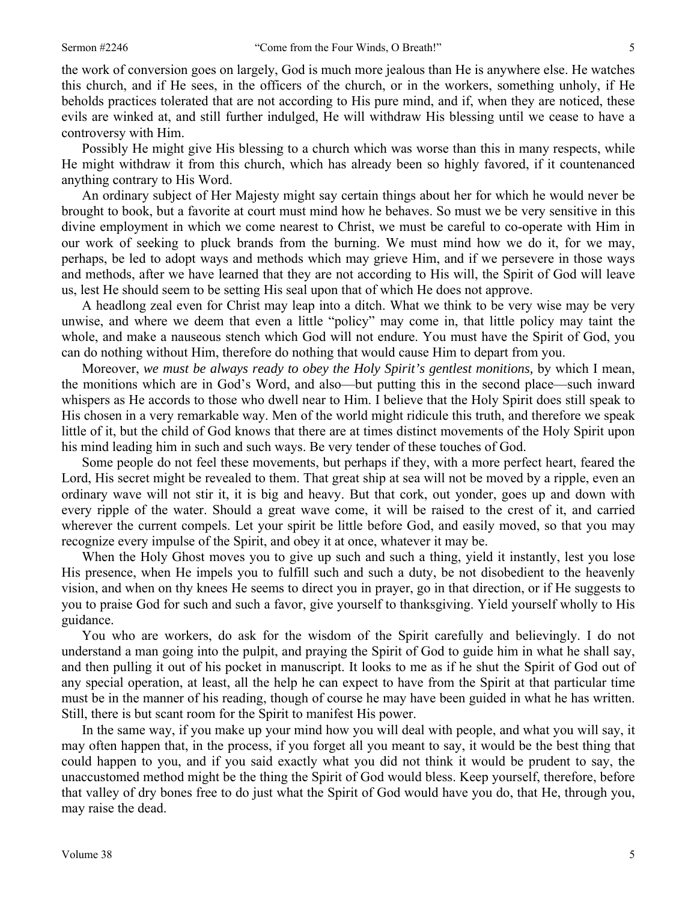the work of conversion goes on largely, God is much more jealous than He is anywhere else. He watches this church, and if He sees, in the officers of the church, or in the workers, something unholy, if He beholds practices tolerated that are not according to His pure mind, and if, when they are noticed, these evils are winked at, and still further indulged, He will withdraw His blessing until we cease to have a

controversy with Him. Possibly He might give His blessing to a church which was worse than this in many respects, while He might withdraw it from this church, which has already been so highly favored, if it countenanced anything contrary to His Word.

An ordinary subject of Her Majesty might say certain things about her for which he would never be brought to book, but a favorite at court must mind how he behaves. So must we be very sensitive in this divine employment in which we come nearest to Christ, we must be careful to co-operate with Him in our work of seeking to pluck brands from the burning. We must mind how we do it, for we may, perhaps, be led to adopt ways and methods which may grieve Him, and if we persevere in those ways and methods, after we have learned that they are not according to His will, the Spirit of God will leave us, lest He should seem to be setting His seal upon that of which He does not approve.

A headlong zeal even for Christ may leap into a ditch. What we think to be very wise may be very unwise, and where we deem that even a little "policy" may come in, that little policy may taint the whole, and make a nauseous stench which God will not endure. You must have the Spirit of God, you can do nothing without Him, therefore do nothing that would cause Him to depart from you.

Moreover, *we must be always ready to obey the Holy Spirit's gentlest monitions,* by which I mean, the monitions which are in God's Word, and also—but putting this in the second place—such inward whispers as He accords to those who dwell near to Him. I believe that the Holy Spirit does still speak to His chosen in a very remarkable way. Men of the world might ridicule this truth, and therefore we speak little of it, but the child of God knows that there are at times distinct movements of the Holy Spirit upon his mind leading him in such and such ways. Be very tender of these touches of God.

Some people do not feel these movements, but perhaps if they, with a more perfect heart, feared the Lord, His secret might be revealed to them. That great ship at sea will not be moved by a ripple, even an ordinary wave will not stir it, it is big and heavy. But that cork, out yonder, goes up and down with every ripple of the water. Should a great wave come, it will be raised to the crest of it, and carried wherever the current compels. Let your spirit be little before God, and easily moved, so that you may recognize every impulse of the Spirit, and obey it at once, whatever it may be.

When the Holy Ghost moves you to give up such and such a thing, yield it instantly, lest you lose His presence, when He impels you to fulfill such and such a duty, be not disobedient to the heavenly vision, and when on thy knees He seems to direct you in prayer, go in that direction, or if He suggests to you to praise God for such and such a favor, give yourself to thanksgiving. Yield yourself wholly to His guidance.

You who are workers, do ask for the wisdom of the Spirit carefully and believingly. I do not understand a man going into the pulpit, and praying the Spirit of God to guide him in what he shall say, and then pulling it out of his pocket in manuscript. It looks to me as if he shut the Spirit of God out of any special operation, at least, all the help he can expect to have from the Spirit at that particular time must be in the manner of his reading, though of course he may have been guided in what he has written. Still, there is but scant room for the Spirit to manifest His power.

In the same way, if you make up your mind how you will deal with people, and what you will say, it may often happen that, in the process, if you forget all you meant to say, it would be the best thing that could happen to you, and if you said exactly what you did not think it would be prudent to say, the unaccustomed method might be the thing the Spirit of God would bless. Keep yourself, therefore, before that valley of dry bones free to do just what the Spirit of God would have you do, that He, through you, may raise the dead.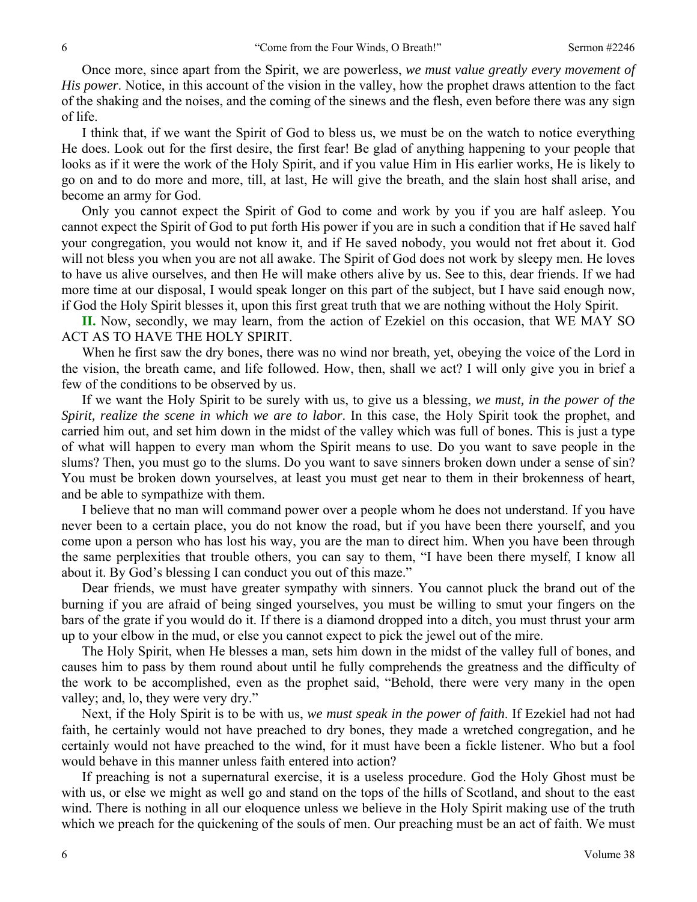Once more, since apart from the Spirit, we are powerless, *we must value greatly every movement of His power*. Notice, in this account of the vision in the valley, how the prophet draws attention to the fact of the shaking and the noises, and the coming of the sinews and the flesh, even before there was any sign of life.

I think that, if we want the Spirit of God to bless us, we must be on the watch to notice everything He does. Look out for the first desire, the first fear! Be glad of anything happening to your people that looks as if it were the work of the Holy Spirit, and if you value Him in His earlier works, He is likely to go on and to do more and more, till, at last, He will give the breath, and the slain host shall arise, and become an army for God.

Only you cannot expect the Spirit of God to come and work by you if you are half asleep. You cannot expect the Spirit of God to put forth His power if you are in such a condition that if He saved half your congregation, you would not know it, and if He saved nobody, you would not fret about it. God will not bless you when you are not all awake. The Spirit of God does not work by sleepy men. He loves to have us alive ourselves, and then He will make others alive by us. See to this, dear friends. If we had more time at our disposal, I would speak longer on this part of the subject, but I have said enough now, if God the Holy Spirit blesses it, upon this first great truth that we are nothing without the Holy Spirit.

**II.** Now, secondly, we may learn, from the action of Ezekiel on this occasion, that WE MAY SO ACT AS TO HAVE THE HOLY SPIRIT.

When he first saw the dry bones, there was no wind nor breath, yet, obeying the voice of the Lord in the vision, the breath came, and life followed. How, then, shall we act? I will only give you in brief a few of the conditions to be observed by us.

If we want the Holy Spirit to be surely with us, to give us a blessing, *we must, in the power of the Spirit, realize the scene in which we are to labor*. In this case, the Holy Spirit took the prophet, and carried him out, and set him down in the midst of the valley which was full of bones. This is just a type of what will happen to every man whom the Spirit means to use. Do you want to save people in the slums? Then, you must go to the slums. Do you want to save sinners broken down under a sense of sin? You must be broken down yourselves, at least you must get near to them in their brokenness of heart, and be able to sympathize with them.

I believe that no man will command power over a people whom he does not understand. If you have never been to a certain place, you do not know the road, but if you have been there yourself, and you come upon a person who has lost his way, you are the man to direct him. When you have been through the same perplexities that trouble others, you can say to them, "I have been there myself, I know all about it. By God's blessing I can conduct you out of this maze."

Dear friends, we must have greater sympathy with sinners. You cannot pluck the brand out of the burning if you are afraid of being singed yourselves, you must be willing to smut your fingers on the bars of the grate if you would do it. If there is a diamond dropped into a ditch, you must thrust your arm up to your elbow in the mud, or else you cannot expect to pick the jewel out of the mire.

The Holy Spirit, when He blesses a man, sets him down in the midst of the valley full of bones, and causes him to pass by them round about until he fully comprehends the greatness and the difficulty of the work to be accomplished, even as the prophet said, "Behold, there were very many in the open valley; and, lo, they were very dry."

Next, if the Holy Spirit is to be with us, *we must speak in the power of faith*. If Ezekiel had not had faith, he certainly would not have preached to dry bones, they made a wretched congregation, and he certainly would not have preached to the wind, for it must have been a fickle listener. Who but a fool would behave in this manner unless faith entered into action?

If preaching is not a supernatural exercise, it is a useless procedure. God the Holy Ghost must be with us, or else we might as well go and stand on the tops of the hills of Scotland, and shout to the east wind. There is nothing in all our eloquence unless we believe in the Holy Spirit making use of the truth which we preach for the quickening of the souls of men. Our preaching must be an act of faith. We must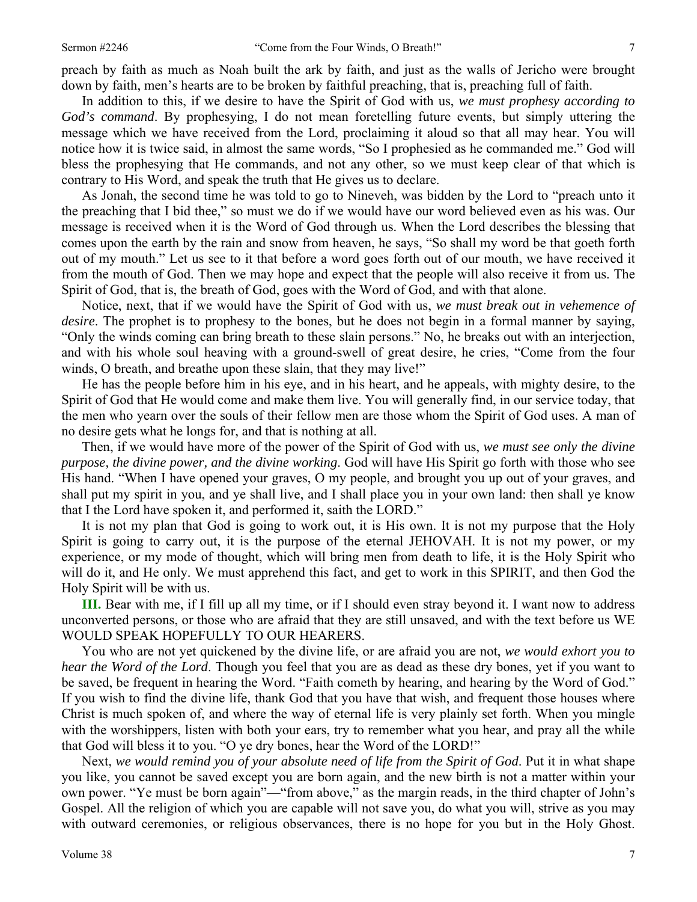preach by faith as much as Noah built the ark by faith, and just as the walls of Jericho were brought down by faith, men's hearts are to be broken by faithful preaching, that is, preaching full of faith.

In addition to this, if we desire to have the Spirit of God with us, *we must prophesy according to God's command*. By prophesying, I do not mean foretelling future events, but simply uttering the message which we have received from the Lord, proclaiming it aloud so that all may hear. You will notice how it is twice said, in almost the same words, "So I prophesied as he commanded me." God will bless the prophesying that He commands, and not any other, so we must keep clear of that which is contrary to His Word, and speak the truth that He gives us to declare.

As Jonah, the second time he was told to go to Nineveh, was bidden by the Lord to "preach unto it the preaching that I bid thee," so must we do if we would have our word believed even as his was. Our message is received when it is the Word of God through us. When the Lord describes the blessing that comes upon the earth by the rain and snow from heaven, he says, "So shall my word be that goeth forth out of my mouth." Let us see to it that before a word goes forth out of our mouth, we have received it from the mouth of God. Then we may hope and expect that the people will also receive it from us. The Spirit of God, that is, the breath of God, goes with the Word of God, and with that alone.

Notice, next, that if we would have the Spirit of God with us, *we must break out in vehemence of desire*. The prophet is to prophesy to the bones, but he does not begin in a formal manner by saying, "Only the winds coming can bring breath to these slain persons." No, he breaks out with an interjection, and with his whole soul heaving with a ground-swell of great desire, he cries, "Come from the four winds, O breath, and breathe upon these slain, that they may live!"

He has the people before him in his eye, and in his heart, and he appeals, with mighty desire, to the Spirit of God that He would come and make them live. You will generally find, in our service today, that the men who yearn over the souls of their fellow men are those whom the Spirit of God uses. A man of no desire gets what he longs for, and that is nothing at all.

Then, if we would have more of the power of the Spirit of God with us, *we must see only the divine purpose, the divine power, and the divine working*. God will have His Spirit go forth with those who see His hand. "When I have opened your graves, O my people, and brought you up out of your graves, and shall put my spirit in you, and ye shall live, and I shall place you in your own land: then shall ye know that I the Lord have spoken it, and performed it, saith the LORD."

It is not my plan that God is going to work out, it is His own. It is not my purpose that the Holy Spirit is going to carry out, it is the purpose of the eternal JEHOVAH. It is not my power, or my experience, or my mode of thought, which will bring men from death to life, it is the Holy Spirit who will do it, and He only. We must apprehend this fact, and get to work in this SPIRIT, and then God the Holy Spirit will be with us.

**III.** Bear with me, if I fill up all my time, or if I should even stray beyond it. I want now to address unconverted persons, or those who are afraid that they are still unsaved, and with the text before us WE WOULD SPEAK HOPEFULLY TO OUR HEARERS.

You who are not yet quickened by the divine life, or are afraid you are not, *we would exhort you to hear the Word of the Lord*. Though you feel that you are as dead as these dry bones, yet if you want to be saved, be frequent in hearing the Word. "Faith cometh by hearing, and hearing by the Word of God." If you wish to find the divine life, thank God that you have that wish, and frequent those houses where Christ is much spoken of, and where the way of eternal life is very plainly set forth. When you mingle with the worshippers, listen with both your ears, try to remember what you hear, and pray all the while that God will bless it to you. "O ye dry bones, hear the Word of the LORD!"

Next, *we would remind you of your absolute need of life from the Spirit of God*. Put it in what shape you like, you cannot be saved except you are born again, and the new birth is not a matter within your own power. "Ye must be born again"—"from above," as the margin reads, in the third chapter of John's Gospel. All the religion of which you are capable will not save you, do what you will, strive as you may with outward ceremonies, or religious observances, there is no hope for you but in the Holy Ghost.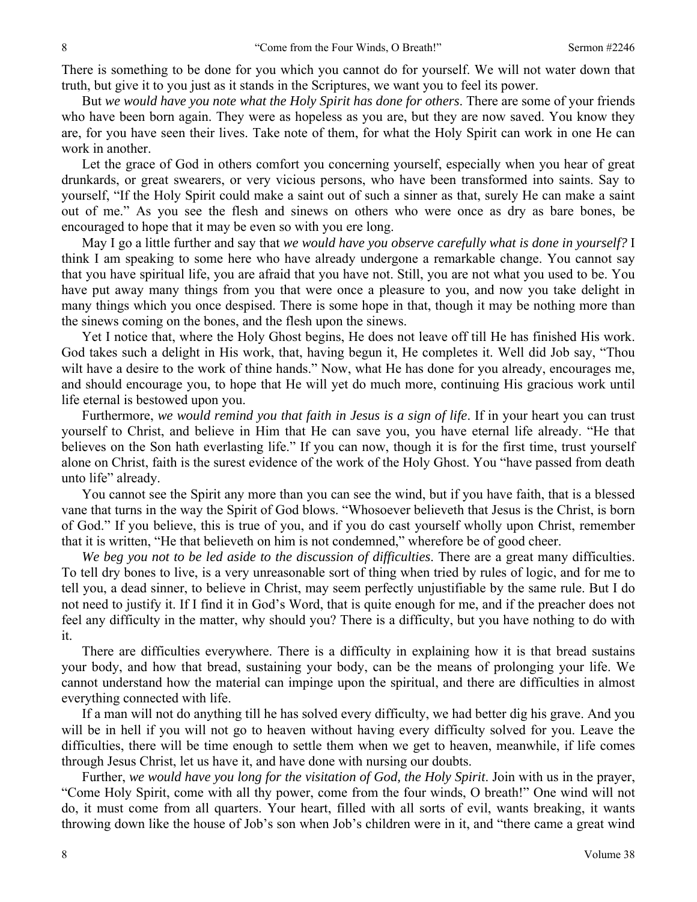There is something to be done for you which you cannot do for yourself. We will not water down that truth, but give it to you just as it stands in the Scriptures, we want you to feel its power.

But *we would have you note what the Holy Spirit has done for others*. There are some of your friends who have been born again. They were as hopeless as you are, but they are now saved. You know they are, for you have seen their lives. Take note of them, for what the Holy Spirit can work in one He can work in another.

Let the grace of God in others comfort you concerning yourself, especially when you hear of great drunkards, or great swearers, or very vicious persons, who have been transformed into saints. Say to yourself, "If the Holy Spirit could make a saint out of such a sinner as that, surely He can make a saint out of me." As you see the flesh and sinews on others who were once as dry as bare bones, be encouraged to hope that it may be even so with you ere long.

May I go a little further and say that *we would have you observe carefully what is done in yourself?* I think I am speaking to some here who have already undergone a remarkable change. You cannot say that you have spiritual life, you are afraid that you have not. Still, you are not what you used to be. You have put away many things from you that were once a pleasure to you, and now you take delight in many things which you once despised. There is some hope in that, though it may be nothing more than the sinews coming on the bones, and the flesh upon the sinews.

Yet I notice that, where the Holy Ghost begins, He does not leave off till He has finished His work. God takes such a delight in His work, that, having begun it, He completes it. Well did Job say, "Thou wilt have a desire to the work of thine hands." Now, what He has done for you already, encourages me, and should encourage you, to hope that He will yet do much more, continuing His gracious work until life eternal is bestowed upon you.

Furthermore, *we would remind you that faith in Jesus is a sign of life*. If in your heart you can trust yourself to Christ, and believe in Him that He can save you, you have eternal life already. "He that believes on the Son hath everlasting life." If you can now, though it is for the first time, trust yourself alone on Christ, faith is the surest evidence of the work of the Holy Ghost. You "have passed from death unto life" already.

You cannot see the Spirit any more than you can see the wind, but if you have faith, that is a blessed vane that turns in the way the Spirit of God blows. "Whosoever believeth that Jesus is the Christ, is born of God." If you believe, this is true of you, and if you do cast yourself wholly upon Christ, remember that it is written, "He that believeth on him is not condemned," wherefore be of good cheer.

*We beg you not to be led aside to the discussion of difficulties*. There are a great many difficulties. To tell dry bones to live, is a very unreasonable sort of thing when tried by rules of logic, and for me to tell you, a dead sinner, to believe in Christ, may seem perfectly unjustifiable by the same rule. But I do not need to justify it. If I find it in God's Word, that is quite enough for me, and if the preacher does not feel any difficulty in the matter, why should you? There is a difficulty, but you have nothing to do with it.

There are difficulties everywhere. There is a difficulty in explaining how it is that bread sustains your body, and how that bread, sustaining your body, can be the means of prolonging your life. We cannot understand how the material can impinge upon the spiritual, and there are difficulties in almost everything connected with life.

If a man will not do anything till he has solved every difficulty, we had better dig his grave. And you will be in hell if you will not go to heaven without having every difficulty solved for you. Leave the difficulties, there will be time enough to settle them when we get to heaven, meanwhile, if life comes through Jesus Christ, let us have it, and have done with nursing our doubts.

Further, we would have you long for the visitation of God, the Holy Spirit. Join with us in the prayer, "Come Holy Spirit, come with all thy power, come from the four winds, O breath!" One wind will not do, it must come from all quarters. Your heart, filled with all sorts of evil, wants breaking, it wants throwing down like the house of Job's son when Job's children were in it, and "there came a great wind